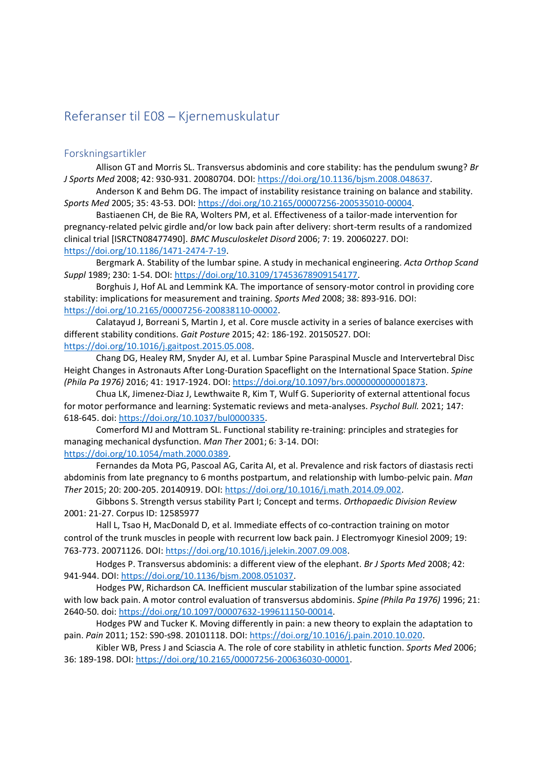# Referanser til E08 - Kjernemuskulatur

## Forskningsartikler

Allison GT and Morris SL. Transversus abdominis and core stability: has the pendulum swung? Br J Sports Med 2008; 42: 930-931. 20080704. DOI: https://doi.org/10.1136/bjsm.2008.048637.

 Anderson K and Behm DG. The impact of instability resistance training on balance and stability. Sports Med 2005; 35: 43-53. DOI: https://doi.org/10.2165/00007256-200535010-00004.

 Bastiaenen CH, de Bie RA, Wolters PM, et al. Effectiveness of a tailor-made intervention for pregnancy-related pelvic girdle and/or low back pain after delivery: short-term results of a randomized clinical trial [ISRCTN08477490]. BMC Musculoskelet Disord 2006; 7: 19. 20060227. DOI: https://doi.org/10.1186/1471-2474-7-19.

 Bergmark A. Stability of the lumbar spine. A study in mechanical engineering. Acta Orthop Scand Suppl 1989; 230: 1-54. DOI: https://doi.org/10.3109/17453678909154177.

 Borghuis J, Hof AL and Lemmink KA. The importance of sensory-motor control in providing core stability: implications for measurement and training. Sports Med 2008; 38: 893-916. DOI: https://doi.org/10.2165/00007256-200838110-00002.

 Calatayud J, Borreani S, Martin J, et al. Core muscle activity in a series of balance exercises with different stability conditions. Gait Posture 2015; 42: 186-192. 20150527. DOI: https://doi.org/10.1016/j.gaitpost.2015.05.008.

 Chang DG, Healey RM, Snyder AJ, et al. Lumbar Spine Paraspinal Muscle and Intervertebral Disc Height Changes in Astronauts After Long-Duration Spaceflight on the International Space Station. Spine (Phila Pa 1976) 2016; 41: 1917-1924. DOI: https://doi.org/10.1097/brs.0000000000001873.

Chua LK, Jimenez-Diaz J, Lewthwaite R, Kim T, Wulf G. Superiority of external attentional focus for motor performance and learning: Systematic reviews and meta-analyses. Psychol Bull. 2021; 147: 618-645. doi: https://doi.org/10.1037/bul0000335.

 Comerford MJ and Mottram SL. Functional stability re-training: principles and strategies for managing mechanical dysfunction. Man Ther 2001; 6: 3-14. DOI: https://doi.org/10.1054/math.2000.0389.

 Fernandes da Mota PG, Pascoal AG, Carita AI, et al. Prevalence and risk factors of diastasis recti abdominis from late pregnancy to 6 months postpartum, and relationship with lumbo-pelvic pain. Man Ther 2015; 20: 200-205. 20140919. DOI: https://doi.org/10.1016/j.math.2014.09.002.

 Gibbons S. Strength versus stability Part I; Concept and terms. Orthopaedic Division Review 2001: 21-27. Corpus ID: 12585977

 Hall L, Tsao H, MacDonald D, et al. Immediate effects of co-contraction training on motor control of the trunk muscles in people with recurrent low back pain. J Electromyogr Kinesiol 2009; 19: 763-773. 20071126. DOI: https://doi.org/10.1016/j.jelekin.2007.09.008.

 Hodges P. Transversus abdominis: a different view of the elephant. Br J Sports Med 2008; 42: 941-944. DOI: https://doi.org/10.1136/bjsm.2008.051037.

Hodges PW, Richardson CA. Inefficient muscular stabilization of the lumbar spine associated with low back pain. A motor control evaluation of transversus abdominis. Spine (Phila Pa 1976) 1996; 21: 2640-50. doi: https://doi.org/10.1097/00007632-199611150-00014.

 Hodges PW and Tucker K. Moving differently in pain: a new theory to explain the adaptation to pain. Pain 2011; 152: S90-s98. 20101118. DOI: https://doi.org/10.1016/j.pain.2010.10.020.

Kibler WB, Press J and Sciascia A. The role of core stability in athletic function. Sports Med 2006; 36: 189-198. DOI: https://doi.org/10.2165/00007256-200636030-00001.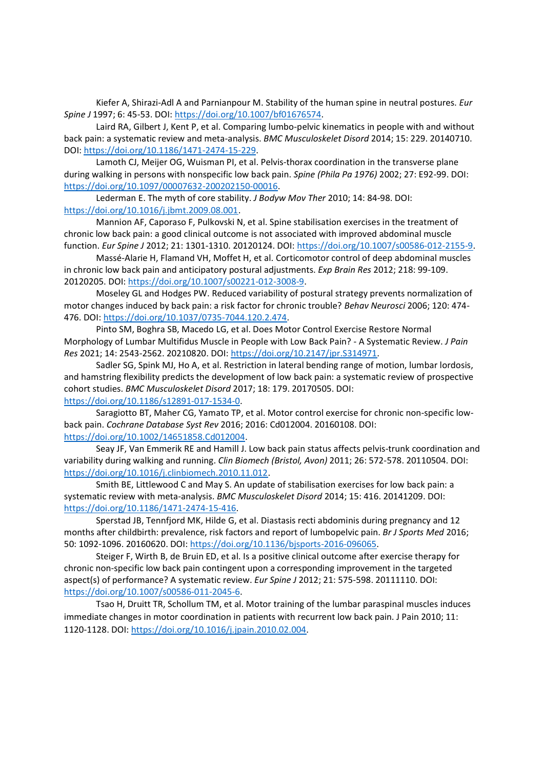Kiefer A, Shirazi-Adl A and Parnianpour M. Stability of the human spine in neutral postures. Eur Spine J 1997; 6: 45-53. DOI: https://doi.org/10.1007/bf01676574.

 Laird RA, Gilbert J, Kent P, et al. Comparing lumbo-pelvic kinematics in people with and without back pain: a systematic review and meta-analysis. BMC Musculoskelet Disord 2014; 15: 229. 20140710. DOI: https://doi.org/10.1186/1471-2474-15-229.

 Lamoth CJ, Meijer OG, Wuisman PI, et al. Pelvis-thorax coordination in the transverse plane during walking in persons with nonspecific low back pain. Spine (Phila Pa 1976) 2002; 27: E92-99. DOI: https://doi.org/10.1097/00007632-200202150-00016.

 Lederman E. The myth of core stability. J Bodyw Mov Ther 2010; 14: 84-98. DOI: https://doi.org/10.1016/j.jbmt.2009.08.001.

 Mannion AF, Caporaso F, Pulkovski N, et al. Spine stabilisation exercises in the treatment of chronic low back pain: a good clinical outcome is not associated with improved abdominal muscle function. Eur Spine J 2012; 21: 1301-1310. 20120124. DOI: https://doi.org/10.1007/s00586-012-2155-9.

Massé-Alarie H, Flamand VH, Moffet H, et al. Corticomotor control of deep abdominal muscles in chronic low back pain and anticipatory postural adjustments. Exp Brain Res 2012; 218: 99-109. 20120205. DOI: https://doi.org/10.1007/s00221-012-3008-9.

 Moseley GL and Hodges PW. Reduced variability of postural strategy prevents normalization of motor changes induced by back pain: a risk factor for chronic trouble? Behav Neurosci 2006; 120: 474- 476. DOI: https://doi.org/10.1037/0735-7044.120.2.474.

 Pinto SM, Boghra SB, Macedo LG, et al. Does Motor Control Exercise Restore Normal Morphology of Lumbar Multifidus Muscle in People with Low Back Pain? - A Systematic Review. J Pain Res 2021; 14: 2543-2562. 20210820. DOI: https://doi.org/10.2147/jpr.S314971.

 Sadler SG, Spink MJ, Ho A, et al. Restriction in lateral bending range of motion, lumbar lordosis, and hamstring flexibility predicts the development of low back pain: a systematic review of prospective cohort studies. BMC Musculoskelet Disord 2017; 18: 179. 20170505. DOI: https://doi.org/10.1186/s12891-017-1534-0.

 Saragiotto BT, Maher CG, Yamato TP, et al. Motor control exercise for chronic non-specific lowback pain. Cochrane Database Syst Rev 2016; 2016: Cd012004. 20160108. DOI: https://doi.org/10.1002/14651858.Cd012004.

 Seay JF, Van Emmerik RE and Hamill J. Low back pain status affects pelvis-trunk coordination and variability during walking and running. Clin Biomech (Bristol, Avon) 2011; 26: 572-578. 20110504. DOI: https://doi.org/10.1016/j.clinbiomech.2010.11.012.

 Smith BE, Littlewood C and May S. An update of stabilisation exercises for low back pain: a systematic review with meta-analysis. BMC Musculoskelet Disord 2014; 15: 416. 20141209. DOI: https://doi.org/10.1186/1471-2474-15-416.

 Sperstad JB, Tennfjord MK, Hilde G, et al. Diastasis recti abdominis during pregnancy and 12 months after childbirth: prevalence, risk factors and report of lumbopelvic pain. Br J Sports Med 2016; 50: 1092-1096. 20160620. DOI: https://doi.org/10.1136/bjsports-2016-096065.

 Steiger F, Wirth B, de Bruin ED, et al. Is a positive clinical outcome after exercise therapy for chronic non-specific low back pain contingent upon a corresponding improvement in the targeted aspect(s) of performance? A systematic review. Eur Spine J 2012; 21: 575-598. 20111110. DOI: https://doi.org/10.1007/s00586-011-2045-6.

 Tsao H, Druitt TR, Schollum TM, et al. Motor training of the lumbar paraspinal muscles induces immediate changes in motor coordination in patients with recurrent low back pain. J Pain 2010; 11: 1120-1128. DOI: https://doi.org/10.1016/j.jpain.2010.02.004.